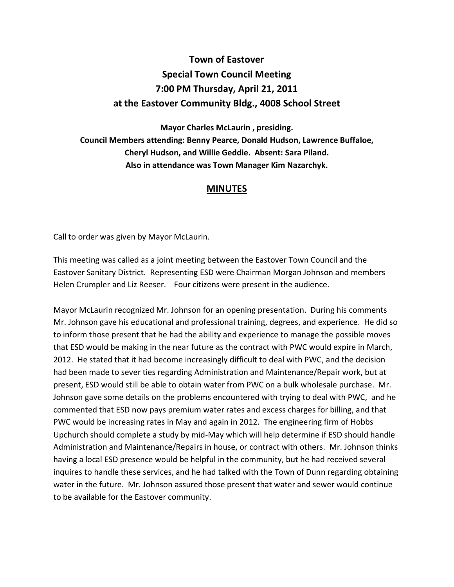## **Town of Eastover Special Town Council Meeting 7:00 PM Thursday, April 21, 2011 at the Eastover Community Bldg., 4008 School Street**

**Mayor Charles McLaurin , presiding. Council Members attending: Benny Pearce, Donald Hudson, Lawrence Buffaloe, Cheryl Hudson, and Willie Geddie. Absent: Sara Piland. Also in attendance was Town Manager Kim Nazarchyk.** 

## **MINUTES**

Call to order was given by Mayor McLaurin.

This meeting was called as a joint meeting between the Eastover Town Council and the Eastover Sanitary District. Representing ESD were Chairman Morgan Johnson and members Helen Crumpler and Liz Reeser. Four citizens were present in the audience.

Mayor McLaurin recognized Mr. Johnson for an opening presentation. During his comments Mr. Johnson gave his educational and professional training, degrees, and experience. He did so to inform those present that he had the ability and experience to manage the possible moves that ESD would be making in the near future as the contract with PWC would expire in March, 2012. He stated that it had become increasingly difficult to deal with PWC, and the decision had been made to sever ties regarding Administration and Maintenance/Repair work, but at present, ESD would still be able to obtain water from PWC on a bulk wholesale purchase. Mr. Johnson gave some details on the problems encountered with trying to deal with PWC, and he commented that ESD now pays premium water rates and excess charges for billing, and that PWC would be increasing rates in May and again in 2012. The engineering firm of Hobbs Upchurch should complete a study by mid-May which will help determine if ESD should handle Administration and Maintenance/Repairs in house, or contract with others. Mr. Johnson thinks having a local ESD presence would be helpful in the community, but he had received several inquires to handle these services, and he had talked with the Town of Dunn regarding obtaining water in the future. Mr. Johnson assured those present that water and sewer would continue to be available for the Eastover community.